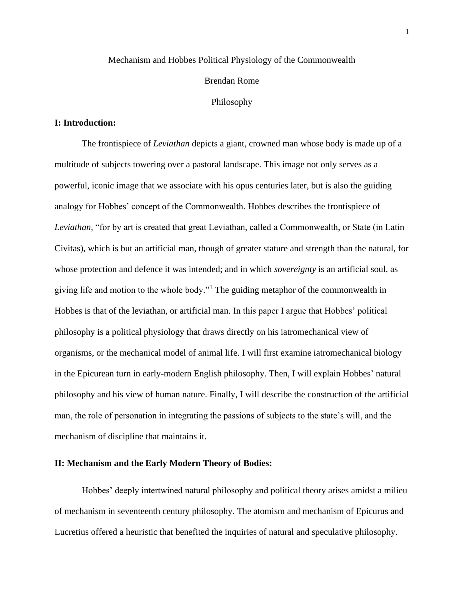## Mechanism and Hobbes Political Physiology of the Commonwealth

#### Brendan Rome

#### Philosophy

## **I: Introduction:**

The frontispiece of *Leviathan* depicts a giant, crowned man whose body is made up of a multitude of subjects towering over a pastoral landscape. This image not only serves as a powerful, iconic image that we associate with his opus centuries later, but is also the guiding analogy for Hobbes' concept of the Commonwealth. Hobbes describes the frontispiece of *Leviathan*, "for by art is created that great Leviathan, called a Commonwealth, or State (in Latin Civitas), which is but an artificial man, though of greater stature and strength than the natural, for whose protection and defence it was intended; and in which *sovereignty* is an artificial soul, as giving life and motion to the whole body."<sup>1</sup> The guiding metaphor of the commonwealth in Hobbes is that of the leviathan, or artificial man. In this paper I argue that Hobbes' political philosophy is a political physiology that draws directly on his iatromechanical view of organisms, or the mechanical model of animal life. I will first examine iatromechanical biology in the Epicurean turn in early-modern English philosophy. Then, I will explain Hobbes' natural philosophy and his view of human nature. Finally, I will describe the construction of the artificial man, the role of personation in integrating the passions of subjects to the state's will, and the mechanism of discipline that maintains it.

### **II: Mechanism and the Early Modern Theory of Bodies:**

Hobbes' deeply intertwined natural philosophy and political theory arises amidst a milieu of mechanism in seventeenth century philosophy. The atomism and mechanism of Epicurus and Lucretius offered a heuristic that benefited the inquiries of natural and speculative philosophy.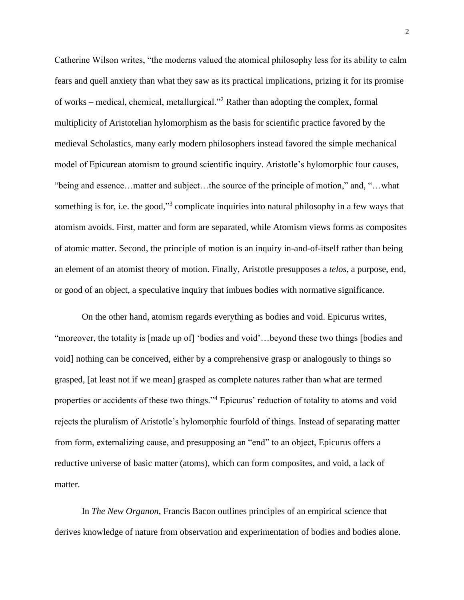Catherine Wilson writes, "the moderns valued the atomical philosophy less for its ability to calm fears and quell anxiety than what they saw as its practical implications, prizing it for its promise of works – medical, chemical, metallurgical."<sup>2</sup> Rather than adopting the complex, formal multiplicity of Aristotelian hylomorphism as the basis for scientific practice favored by the medieval Scholastics, many early modern philosophers instead favored the simple mechanical model of Epicurean atomism to ground scientific inquiry. Aristotle's hylomorphic four causes, "being and essence…matter and subject…the source of the principle of motion," and, "…what something is for, i.e. the good,"<sup>3</sup> complicate inquiries into natural philosophy in a few ways that atomism avoids. First, matter and form are separated, while Atomism views forms as composites of atomic matter. Second, the principle of motion is an inquiry in-and-of-itself rather than being an element of an atomist theory of motion. Finally, Aristotle presupposes a *telos*, a purpose, end, or good of an object, a speculative inquiry that imbues bodies with normative significance.

On the other hand, atomism regards everything as bodies and void. Epicurus writes, "moreover, the totality is [made up of] 'bodies and void'…beyond these two things [bodies and void] nothing can be conceived, either by a comprehensive grasp or analogously to things so grasped, [at least not if we mean] grasped as complete natures rather than what are termed properties or accidents of these two things."<sup>4</sup> Epicurus' reduction of totality to atoms and void rejects the pluralism of Aristotle's hylomorphic fourfold of things. Instead of separating matter from form, externalizing cause, and presupposing an "end" to an object, Epicurus offers a reductive universe of basic matter (atoms), which can form composites, and void, a lack of matter.

In *The New Organon*, Francis Bacon outlines principles of an empirical science that derives knowledge of nature from observation and experimentation of bodies and bodies alone.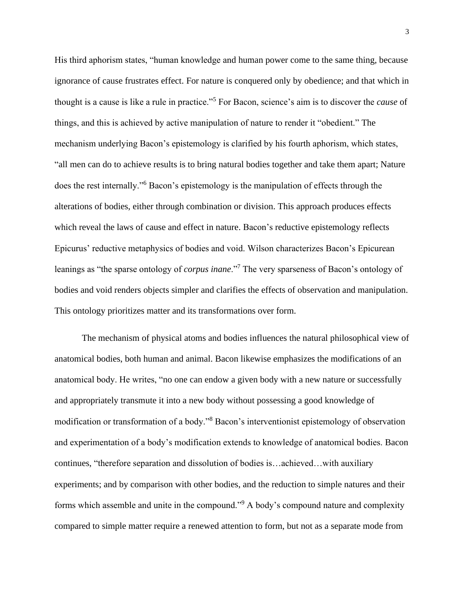His third aphorism states, "human knowledge and human power come to the same thing, because ignorance of cause frustrates effect. For nature is conquered only by obedience; and that which in thought is a cause is like a rule in practice."<sup>5</sup> For Bacon, science's aim is to discover the *cause* of things, and this is achieved by active manipulation of nature to render it "obedient." The mechanism underlying Bacon's epistemology is clarified by his fourth aphorism, which states, "all men can do to achieve results is to bring natural bodies together and take them apart; Nature does the rest internally."<sup>6</sup> Bacon's epistemology is the manipulation of effects through the alterations of bodies, either through combination or division. This approach produces effects which reveal the laws of cause and effect in nature. Bacon's reductive epistemology reflects Epicurus' reductive metaphysics of bodies and void. Wilson characterizes Bacon's Epicurean leanings as "the sparse ontology of *corpus inane*."<sup>7</sup> The very sparseness of Bacon's ontology of bodies and void renders objects simpler and clarifies the effects of observation and manipulation. This ontology prioritizes matter and its transformations over form.

The mechanism of physical atoms and bodies influences the natural philosophical view of anatomical bodies, both human and animal. Bacon likewise emphasizes the modifications of an anatomical body. He writes, "no one can endow a given body with a new nature or successfully and appropriately transmute it into a new body without possessing a good knowledge of modification or transformation of a body."<sup>8</sup> Bacon's interventionist epistemology of observation and experimentation of a body's modification extends to knowledge of anatomical bodies. Bacon continues, "therefore separation and dissolution of bodies is…achieved…with auxiliary experiments; and by comparison with other bodies, and the reduction to simple natures and their forms which assemble and unite in the compound."<sup>9</sup> A body's compound nature and complexity compared to simple matter require a renewed attention to form, but not as a separate mode from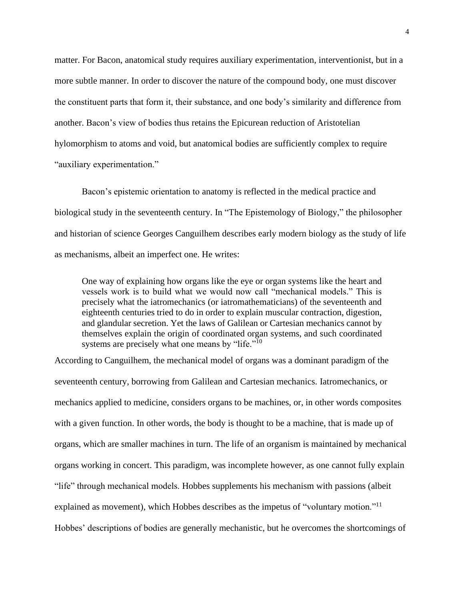matter. For Bacon, anatomical study requires auxiliary experimentation, interventionist, but in a more subtle manner. In order to discover the nature of the compound body, one must discover the constituent parts that form it, their substance, and one body's similarity and difference from another. Bacon's view of bodies thus retains the Epicurean reduction of Aristotelian hylomorphism to atoms and void, but anatomical bodies are sufficiently complex to require "auxiliary experimentation."

Bacon's epistemic orientation to anatomy is reflected in the medical practice and biological study in the seventeenth century. In "The Epistemology of Biology," the philosopher and historian of science Georges Canguilhem describes early modern biology as the study of life as mechanisms, albeit an imperfect one. He writes:

One way of explaining how organs like the eye or organ systems like the heart and vessels work is to build what we would now call "mechanical models." This is precisely what the iatromechanics (or iatromathematicians) of the seventeenth and eighteenth centuries tried to do in order to explain muscular contraction, digestion, and glandular secretion. Yet the laws of Galilean or Cartesian mechanics cannot by themselves explain the origin of coordinated organ systems, and such coordinated systems are precisely what one means by "life."<sup>10</sup>

According to Canguilhem, the mechanical model of organs was a dominant paradigm of the seventeenth century, borrowing from Galilean and Cartesian mechanics. Iatromechanics, or mechanics applied to medicine, considers organs to be machines, or, in other words composites with a given function. In other words, the body is thought to be a machine, that is made up of organs, which are smaller machines in turn. The life of an organism is maintained by mechanical organs working in concert. This paradigm, was incomplete however, as one cannot fully explain "life" through mechanical models. Hobbes supplements his mechanism with passions (albeit explained as movement), which Hobbes describes as the impetus of "voluntary motion."<sup>11</sup> Hobbes' descriptions of bodies are generally mechanistic, but he overcomes the shortcomings of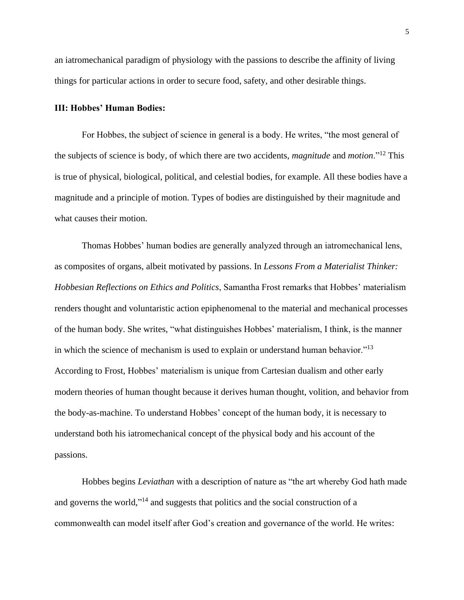an iatromechanical paradigm of physiology with the passions to describe the affinity of living things for particular actions in order to secure food, safety, and other desirable things.

### **III: Hobbes' Human Bodies:**

For Hobbes, the subject of science in general is a body. He writes, "the most general of the subjects of science is body, of which there are two accidents, *magnitude* and *motion*."<sup>12</sup> This is true of physical, biological, political, and celestial bodies, for example. All these bodies have a magnitude and a principle of motion. Types of bodies are distinguished by their magnitude and what causes their motion.

Thomas Hobbes' human bodies are generally analyzed through an iatromechanical lens, as composites of organs, albeit motivated by passions. In *Lessons From a Materialist Thinker: Hobbesian Reflections on Ethics and Politics*, Samantha Frost remarks that Hobbes' materialism renders thought and voluntaristic action epiphenomenal to the material and mechanical processes of the human body. She writes, "what distinguishes Hobbes' materialism, I think, is the manner in which the science of mechanism is used to explain or understand human behavior."<sup>13</sup> According to Frost, Hobbes' materialism is unique from Cartesian dualism and other early modern theories of human thought because it derives human thought, volition, and behavior from the body-as-machine. To understand Hobbes' concept of the human body, it is necessary to understand both his iatromechanical concept of the physical body and his account of the passions.

Hobbes begins *Leviathan* with a description of nature as "the art whereby God hath made and governs the world,"<sup>14</sup> and suggests that politics and the social construction of a commonwealth can model itself after God's creation and governance of the world. He writes: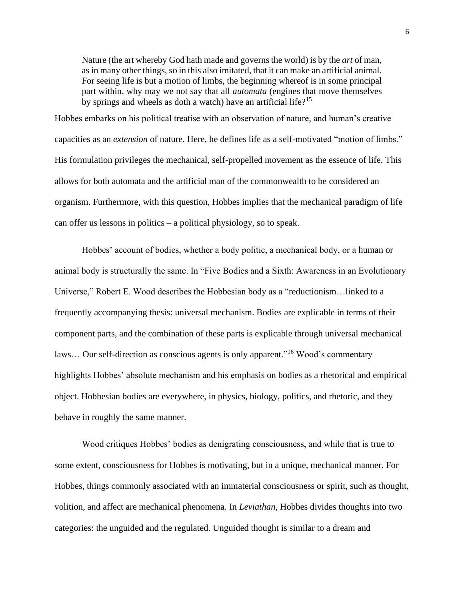Nature (the art whereby God hath made and governs the world) is by the *art* of man, as in many other things, so in this also imitated, that it can make an artificial animal. For seeing life is but a motion of limbs, the beginning whereof is in some principal part within, why may we not say that all *automata* (engines that move themselves by springs and wheels as doth a watch) have an artificial life?<sup>15</sup>

Hobbes embarks on his political treatise with an observation of nature, and human's creative capacities as an *extension* of nature. Here, he defines life as a self-motivated "motion of limbs." His formulation privileges the mechanical, self-propelled movement as the essence of life. This allows for both automata and the artificial man of the commonwealth to be considered an organism. Furthermore, with this question, Hobbes implies that the mechanical paradigm of life can offer us lessons in politics – a political physiology, so to speak.

Hobbes' account of bodies, whether a body politic, a mechanical body, or a human or animal body is structurally the same. In "Five Bodies and a Sixth: Awareness in an Evolutionary Universe," Robert E. Wood describes the Hobbesian body as a "reductionism…linked to a frequently accompanying thesis: universal mechanism. Bodies are explicable in terms of their component parts, and the combination of these parts is explicable through universal mechanical laws... Our self-direction as conscious agents is only apparent."<sup>16</sup> Wood's commentary highlights Hobbes' absolute mechanism and his emphasis on bodies as a rhetorical and empirical object. Hobbesian bodies are everywhere, in physics, biology, politics, and rhetoric, and they behave in roughly the same manner.

Wood critiques Hobbes' bodies as denigrating consciousness, and while that is true to some extent, consciousness for Hobbes is motivating, but in a unique, mechanical manner. For Hobbes, things commonly associated with an immaterial consciousness or spirit, such as thought, volition, and affect are mechanical phenomena. In *Leviathan,* Hobbes divides thoughts into two categories: the unguided and the regulated. Unguided thought is similar to a dream and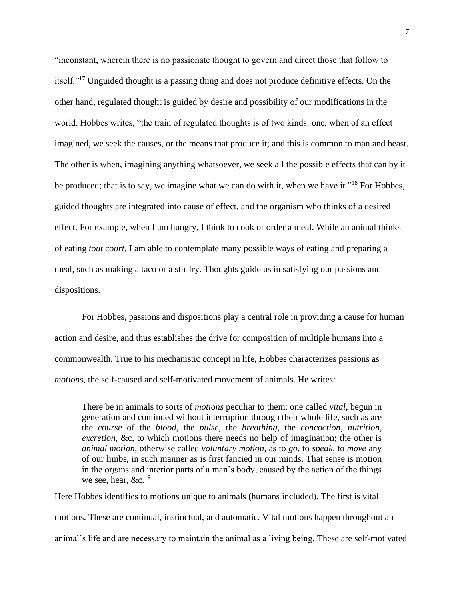"inconstant, wherein there is no passionate thought to govern and direct those that follow to itself."<sup>17</sup> Unguided thought is a passing thing and does not produce definitive effects. On the other hand, regulated thought is guided by desire and possibility of our modifications in the world. Hobbes writes, "the train of regulated thoughts is of two kinds: one, when of an effect imagined, we seek the causes, or the means that produce it; and this is common to man and beast. The other is when, imagining anything whatsoever, we seek all the possible effects that can by it be produced; that is to say, we imagine what we can do with it, when we have it."<sup>18</sup> For Hobbes, guided thoughts are integrated into cause of effect, and the organism who thinks of a desired effect. For example, when I am hungry, I think to cook or order a meal. While an animal thinks of eating *tout court*, I am able to contemplate many possible ways of eating and preparing a meal, such as making a taco or a stir fry. Thoughts guide us in satisfying our passions and dispositions.

For Hobbes, passions and dispositions play a central role in providing a cause for human action and desire, and thus establishes the drive for composition of multiple humans into a commonwealth. True to his mechanistic concept in life, Hobbes characterizes passions as *motions*, the self-caused and self-motivated movement of animals. He writes:

There be in animals to sorts of *motions* peculiar to them: one called *vital*, begun in generation and continued without interruption through their whole life, such as are the *course* of the *blood*, the *pulse*, the *breathing*, the *concoction, nutrition, excretion*, &c, to which motions there needs no help of imagination; the other is *animal motion*, otherwise called *voluntary motion*, as to *go*, to *speak,* to *move* any of our limbs, in such manner as is first fancied in our minds. That sense is motion in the organs and interior parts of a man's body, caused by the action of the things we see, hear,  $&c.^{19}$ 

Here Hobbes identifies to motions unique to animals (humans included). The first is vital motions. These are continual, instinctual, and automatic. Vital motions happen throughout an animal's life and are necessary to maintain the animal as a living being. These are self-motivated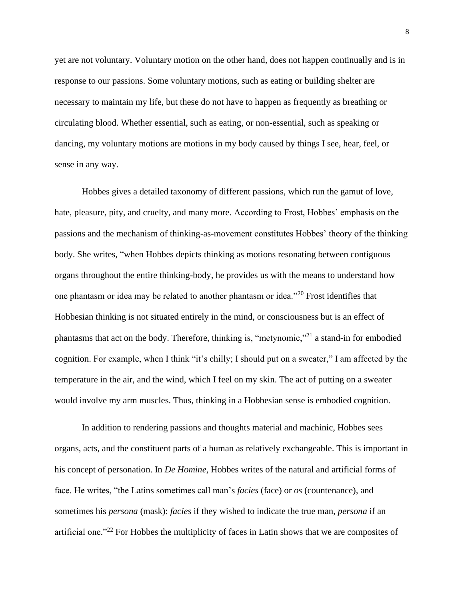yet are not voluntary. Voluntary motion on the other hand, does not happen continually and is in response to our passions. Some voluntary motions, such as eating or building shelter are necessary to maintain my life, but these do not have to happen as frequently as breathing or circulating blood. Whether essential, such as eating, or non-essential, such as speaking or dancing, my voluntary motions are motions in my body caused by things I see, hear, feel, or sense in any way.

Hobbes gives a detailed taxonomy of different passions, which run the gamut of love, hate, pleasure, pity, and cruelty, and many more. According to Frost, Hobbes' emphasis on the passions and the mechanism of thinking-as-movement constitutes Hobbes' theory of the thinking body. She writes, "when Hobbes depicts thinking as motions resonating between contiguous organs throughout the entire thinking-body, he provides us with the means to understand how one phantasm or idea may be related to another phantasm or idea."<sup>20</sup> Frost identifies that Hobbesian thinking is not situated entirely in the mind, or consciousness but is an effect of phantasms that act on the body. Therefore, thinking is, "metynomic,"<sup>21</sup> a stand-in for embodied cognition. For example, when I think "it's chilly; I should put on a sweater," I am affected by the temperature in the air, and the wind, which I feel on my skin. The act of putting on a sweater would involve my arm muscles. Thus, thinking in a Hobbesian sense is embodied cognition.

In addition to rendering passions and thoughts material and machinic, Hobbes sees organs, acts, and the constituent parts of a human as relatively exchangeable. This is important in his concept of personation. In *De Homine*, Hobbes writes of the natural and artificial forms of face. He writes, "the Latins sometimes call man's *facies* (face) or *os* (countenance), and sometimes his *persona* (mask): *facies* if they wished to indicate the true man, *persona* if an artificial one."<sup>22</sup> For Hobbes the multiplicity of faces in Latin shows that we are composites of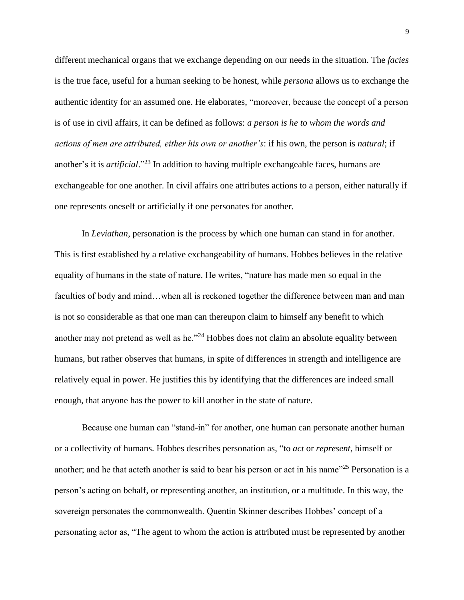different mechanical organs that we exchange depending on our needs in the situation. The *facies* is the true face, useful for a human seeking to be honest, while *persona* allows us to exchange the authentic identity for an assumed one. He elaborates, "moreover, because the concept of a person is of use in civil affairs, it can be defined as follows: *a person is he to whom the words and actions of men are attributed, either his own or another's*: if his own, the person is *natural*; if another's it is *artificial*."<sup>23</sup> In addition to having multiple exchangeable faces, humans are exchangeable for one another. In civil affairs one attributes actions to a person, either naturally if one represents oneself or artificially if one personates for another.

In *Leviathan*, personation is the process by which one human can stand in for another. This is first established by a relative exchangeability of humans. Hobbes believes in the relative equality of humans in the state of nature. He writes, "nature has made men so equal in the faculties of body and mind...when all is reckoned together the difference between man and man is not so considerable as that one man can thereupon claim to himself any benefit to which another may not pretend as well as he."<sup>24</sup> Hobbes does not claim an absolute equality between humans, but rather observes that humans, in spite of differences in strength and intelligence are relatively equal in power. He justifies this by identifying that the differences are indeed small enough, that anyone has the power to kill another in the state of nature.

Because one human can "stand-in" for another, one human can personate another human or a collectivity of humans. Hobbes describes personation as, "to *act* or *represent*, himself or another; and he that acteth another is said to bear his person or act in his name<sup>225</sup> Personation is a person's acting on behalf, or representing another, an institution, or a multitude. In this way, the sovereign personates the commonwealth. Quentin Skinner describes Hobbes' concept of a personating actor as, "The agent to whom the action is attributed must be represented by another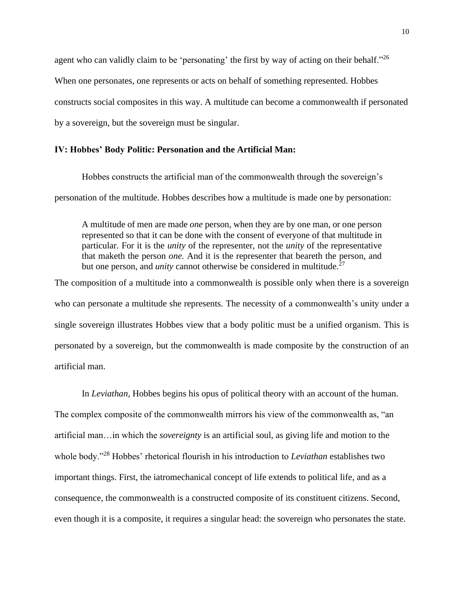agent who can validly claim to be 'personating' the first by way of acting on their behalf."<sup>26</sup> When one personates, one represents or acts on behalf of something represented. Hobbes constructs social composites in this way. A multitude can become a commonwealth if personated by a sovereign, but the sovereign must be singular.

### **IV: Hobbes' Body Politic: Personation and the Artificial Man:**

Hobbes constructs the artificial man of the commonwealth through the sovereign's personation of the multitude. Hobbes describes how a multitude is made one by personation:

A multitude of men are made *one* person, when they are by one man, or one person represented so that it can be done with the consent of everyone of that multitude in particular. For it is the *unity* of the representer, not the *unity* of the representative that maketh the person *one.* And it is the representer that beareth the person, and but one person, and *unity* cannot otherwise be considered in multitude.<sup>27</sup>

The composition of a multitude into a commonwealth is possible only when there is a sovereign who can personate a multitude she represents. The necessity of a commonwealth's unity under a single sovereign illustrates Hobbes view that a body politic must be a unified organism. This is personated by a sovereign, but the commonwealth is made composite by the construction of an artificial man.

In *Leviathan*, Hobbes begins his opus of political theory with an account of the human. The complex composite of the commonwealth mirrors his view of the commonwealth as, "an artificial man…in which the *sovereignty* is an artificial soul, as giving life and motion to the whole body."<sup>28</sup> Hobbes' rhetorical flourish in his introduction to *Leviathan* establishes two important things. First, the iatromechanical concept of life extends to political life, and as a consequence, the commonwealth is a constructed composite of its constituent citizens. Second, even though it is a composite, it requires a singular head: the sovereign who personates the state.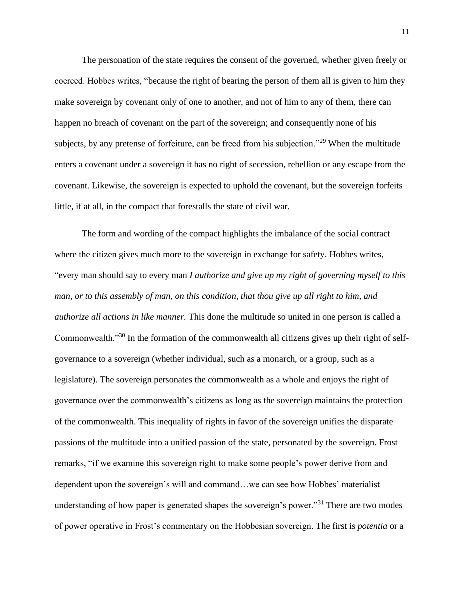The personation of the state requires the consent of the governed, whether given freely or coerced. Hobbes writes, "because the right of bearing the person of them all is given to him they make sovereign by covenant only of one to another, and not of him to any of them, there can happen no breach of covenant on the part of the sovereign; and consequently none of his subjects, by any pretense of forfeiture, can be freed from his subjection."<sup>29</sup> When the multitude enters a covenant under a sovereign it has no right of secession, rebellion or any escape from the covenant. Likewise, the sovereign is expected to uphold the covenant, but the sovereign forfeits little, if at all, in the compact that forestalls the state of civil war.

The form and wording of the compact highlights the imbalance of the social contract where the citizen gives much more to the sovereign in exchange for safety. Hobbes writes, "every man should say to every man *I authorize and give up my right of governing myself to this man, or to this assembly of man, on this condition*, *that thou give up all right to him, and authorize all actions in like manner.* This done the multitude so united in one person is called a Commonwealth."<sup>30</sup> In the formation of the commonwealth all citizens gives up their right of selfgovernance to a sovereign (whether individual, such as a monarch, or a group, such as a legislature). The sovereign personates the commonwealth as a whole and enjoys the right of governance over the commonwealth's citizens as long as the sovereign maintains the protection of the commonwealth. This inequality of rights in favor of the sovereign unifies the disparate passions of the multitude into a unified passion of the state, personated by the sovereign. Frost remarks, "if we examine this sovereign right to make some people's power derive from and dependent upon the sovereign's will and command…we can see how Hobbes' materialist understanding of how paper is generated shapes the sovereign's power.<sup>331</sup> There are two modes of power operative in Frost's commentary on the Hobbesian sovereign. The first is *potentia* or a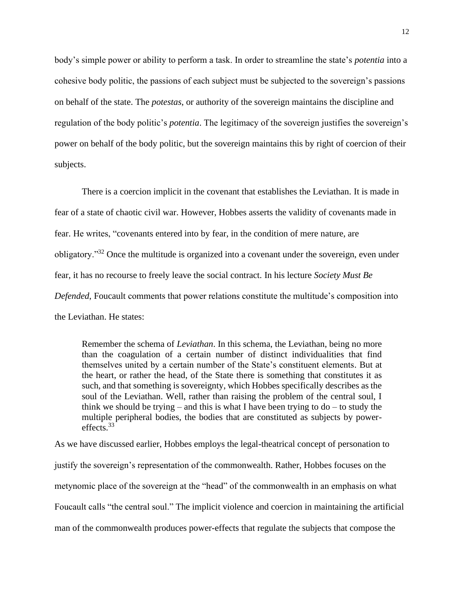body's simple power or ability to perform a task. In order to streamline the state's *potentia* into a cohesive body politic, the passions of each subject must be subjected to the sovereign's passions on behalf of the state. The *potestas*, or authority of the sovereign maintains the discipline and regulation of the body politic's *potentia*. The legitimacy of the sovereign justifies the sovereign's power on behalf of the body politic, but the sovereign maintains this by right of coercion of their subjects.

There is a coercion implicit in the covenant that establishes the Leviathan. It is made in fear of a state of chaotic civil war. However, Hobbes asserts the validity of covenants made in fear. He writes, "covenants entered into by fear, in the condition of mere nature, are obligatory."<sup>32</sup> Once the multitude is organized into a covenant under the sovereign, even under fear, it has no recourse to freely leave the social contract. In his lecture *Society Must Be Defended*, Foucault comments that power relations constitute the multitude's composition into the Leviathan. He states:

Remember the schema of *Leviathan*. In this schema, the Leviathan, being no more than the coagulation of a certain number of distinct individualities that find themselves united by a certain number of the State's constituent elements. But at the heart, or rather the head, of the State there is something that constitutes it as such, and that something is sovereignty, which Hobbes specifically describes as the soul of the Leviathan. Well, rather than raising the problem of the central soul, I think we should be trying – and this is what I have been trying to  $d\sigma$  – to study the multiple peripheral bodies, the bodies that are constituted as subjects by powereffects.<sup>33</sup>

As we have discussed earlier, Hobbes employs the legal-theatrical concept of personation to justify the sovereign's representation of the commonwealth. Rather, Hobbes focuses on the metynomic place of the sovereign at the "head" of the commonwealth in an emphasis on what Foucault calls "the central soul." The implicit violence and coercion in maintaining the artificial man of the commonwealth produces power-effects that regulate the subjects that compose the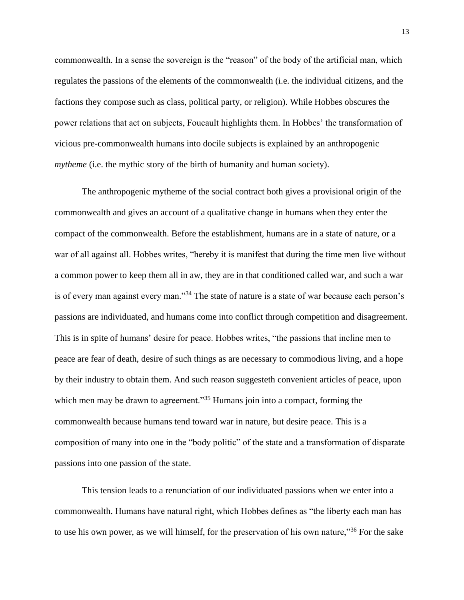commonwealth. In a sense the sovereign is the "reason" of the body of the artificial man, which regulates the passions of the elements of the commonwealth (i.e. the individual citizens, and the factions they compose such as class, political party, or religion). While Hobbes obscures the power relations that act on subjects, Foucault highlights them. In Hobbes' the transformation of vicious pre-commonwealth humans into docile subjects is explained by an anthropogenic *mytheme* (i.e. the mythic story of the birth of humanity and human society).

The anthropogenic mytheme of the social contract both gives a provisional origin of the commonwealth and gives an account of a qualitative change in humans when they enter the compact of the commonwealth. Before the establishment, humans are in a state of nature, or a war of all against all. Hobbes writes, "hereby it is manifest that during the time men live without a common power to keep them all in aw, they are in that conditioned called war, and such a war is of every man against every man."<sup>34</sup> The state of nature is a state of war because each person's passions are individuated, and humans come into conflict through competition and disagreement. This is in spite of humans' desire for peace. Hobbes writes, "the passions that incline men to peace are fear of death, desire of such things as are necessary to commodious living, and a hope by their industry to obtain them. And such reason suggesteth convenient articles of peace, upon which men may be drawn to agreement."<sup>35</sup> Humans join into a compact, forming the commonwealth because humans tend toward war in nature, but desire peace. This is a composition of many into one in the "body politic" of the state and a transformation of disparate passions into one passion of the state.

This tension leads to a renunciation of our individuated passions when we enter into a commonwealth. Humans have natural right, which Hobbes defines as "the liberty each man has to use his own power, as we will himself, for the preservation of his own nature,"<sup>36</sup> For the sake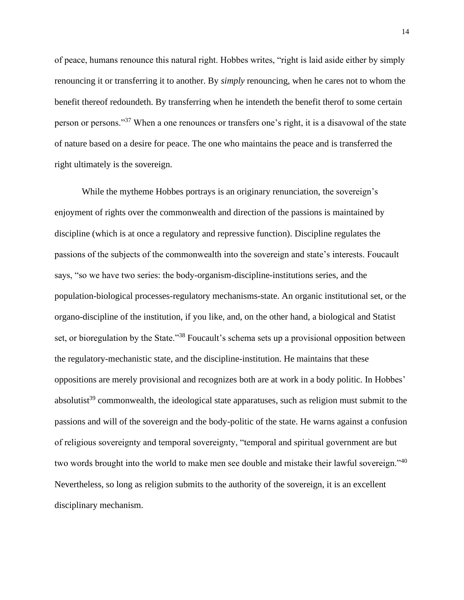of peace, humans renounce this natural right. Hobbes writes, "right is laid aside either by simply renouncing it or transferring it to another. By *simply* renouncing, when he cares not to whom the benefit thereof redoundeth. By transferring when he intendeth the benefit therof to some certain person or persons."<sup>37</sup> When a one renounces or transfers one's right, it is a disavowal of the state of nature based on a desire for peace. The one who maintains the peace and is transferred the right ultimately is the sovereign.

While the mytheme Hobbes portrays is an originary renunciation, the sovereign's enjoyment of rights over the commonwealth and direction of the passions is maintained by discipline (which is at once a regulatory and repressive function). Discipline regulates the passions of the subjects of the commonwealth into the sovereign and state's interests. Foucault says, "so we have two series: the body-organism-discipline-institutions series, and the population-biological processes-regulatory mechanisms-state. An organic institutional set, or the organo-discipline of the institution, if you like, and, on the other hand, a biological and Statist set, or bioregulation by the State.<sup>38</sup> Foucault's schema sets up a provisional opposition between the regulatory-mechanistic state, and the discipline-institution. He maintains that these oppositions are merely provisional and recognizes both are at work in a body politic. In Hobbes' absolutist<sup>39</sup> commonwealth, the ideological state apparatuses, such as religion must submit to the passions and will of the sovereign and the body-politic of the state. He warns against a confusion of religious sovereignty and temporal sovereignty, "temporal and spiritual government are but two words brought into the world to make men see double and mistake their lawful sovereign."<sup>40</sup> Nevertheless, so long as religion submits to the authority of the sovereign, it is an excellent disciplinary mechanism.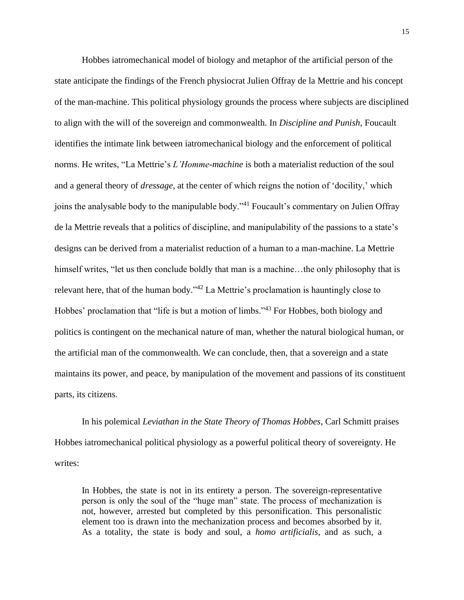Hobbes iatromechanical model of biology and metaphor of the artificial person of the state anticipate the findings of the French physiocrat Julien Offray de la Mettrie and his concept of the man-machine. This political physiology grounds the process where subjects are disciplined to align with the will of the sovereign and commonwealth. In *Discipline and Punish*, Foucault identifies the intimate link between iatromechanical biology and the enforcement of political norms. He writes, "La Mettrie's *L'Homme-machine* is both a materialist reduction of the soul and a general theory of *dressage*, at the center of which reigns the notion of 'docility,' which joins the analysable body to the manipulable body."<sup>41</sup> Foucault's commentary on Julien Offray de la Mettrie reveals that a politics of discipline, and manipulability of the passions to a state's designs can be derived from a materialist reduction of a human to a man-machine. La Mettrie himself writes, "let us then conclude boldly that man is a machine...the only philosophy that is relevant here, that of the human body."<sup>42</sup> La Mettrie's proclamation is hauntingly close to Hobbes' proclamation that "life is but a motion of limbs."<sup>43</sup> For Hobbes, both biology and politics is contingent on the mechanical nature of man, whether the natural biological human, or the artificial man of the commonwealth. We can conclude, then, that a sovereign and a state maintains its power, and peace, by manipulation of the movement and passions of its constituent parts, its citizens.

In his polemical *Leviathan in the State Theory of Thomas Hobbes*, Carl Schmitt praises Hobbes iatromechanical political physiology as a powerful political theory of sovereignty. He writes:

In Hobbes, the state is not in its entirety a person. The sovereign-representative person is only the soul of the "huge man" state. The process of mechanization is not, however, arrested but completed by this personification. This personalistic element too is drawn into the mechanization process and becomes absorbed by it. As a totality, the state is body and soul, a *homo artificialis*, and as such, a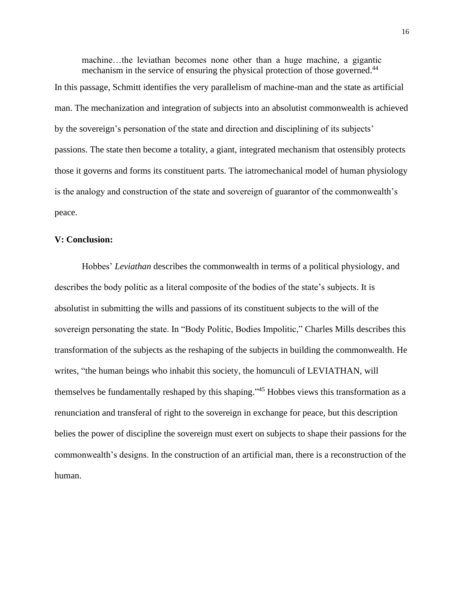machine…the leviathan becomes none other than a huge machine, a gigantic mechanism in the service of ensuring the physical protection of those governed.<sup>44</sup>

In this passage, Schmitt identifies the very parallelism of machine-man and the state as artificial man. The mechanization and integration of subjects into an absolutist commonwealth is achieved by the sovereign's personation of the state and direction and disciplining of its subjects' passions. The state then become a totality, a giant, integrated mechanism that ostensibly protects those it governs and forms its constituent parts. The iatromechanical model of human physiology is the analogy and construction of the state and sovereign of guarantor of the commonwealth's peace.

### **V: Conclusion:**

Hobbes' *Leviathan* describes the commonwealth in terms of a political physiology, and describes the body politic as a literal composite of the bodies of the state's subjects. It is absolutist in submitting the wills and passions of its constituent subjects to the will of the sovereign personating the state. In "Body Politic, Bodies Impolitic," Charles Mills describes this transformation of the subjects as the reshaping of the subjects in building the commonwealth. He writes, "the human beings who inhabit this society, the homunculi of LEVIATHAN, will themselves be fundamentally reshaped by this shaping."<sup>45</sup> Hobbes views this transformation as a renunciation and transferal of right to the sovereign in exchange for peace, but this description belies the power of discipline the sovereign must exert on subjects to shape their passions for the commonwealth's designs. In the construction of an artificial man, there is a reconstruction of the human.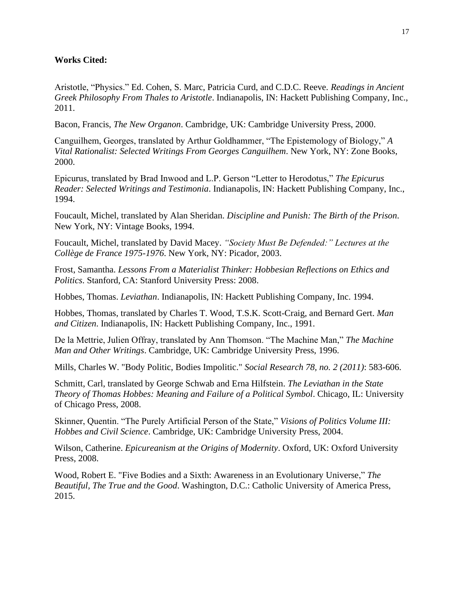# **Works Cited:**

Aristotle, "Physics." Ed. Cohen, S. Marc, Patricia Curd, and C.D.C. Reeve. *Readings in Ancient Greek Philosophy From Thales to Aristotle*. Indianapolis, IN: Hackett Publishing Company, Inc., 2011.

Bacon, Francis, *The New Organon*. Cambridge, UK: Cambridge University Press, 2000.

Canguilhem, Georges, translated by Arthur Goldhammer, "The Epistemology of Biology," *A Vital Rationalist: Selected Writings From Georges Canguilhem*. New York, NY: Zone Books, 2000.

Epicurus, translated by Brad Inwood and L.P. Gerson "Letter to Herodotus," *The Epicurus Reader: Selected Writings and Testimonia*. Indianapolis, IN: Hackett Publishing Company, Inc., 1994.

Foucault, Michel, translated by Alan Sheridan. *Discipline and Punish: The Birth of the Prison*. New York, NY: Vintage Books, 1994.

Foucault, Michel, translated by David Macey. *"Society Must Be Defended:" Lectures at the Collège de France 1975-1976*. New York, NY: Picador, 2003.

Frost, Samantha. *Lessons From a Materialist Thinker: Hobbesian Reflections on Ethics and Politics*. Stanford, CA: Stanford University Press: 2008.

Hobbes, Thomas. *Leviathan*. Indianapolis, IN: Hackett Publishing Company, Inc. 1994.

Hobbes, Thomas, translated by Charles T. Wood, T.S.K. Scott-Craig, and Bernard Gert. *Man and Citizen*. Indianapolis, IN: Hackett Publishing Company, Inc., 1991.

De la Mettrie, Julien Offray, translated by Ann Thomson. "The Machine Man," *The Machine Man and Other Writings*. Cambridge, UK: Cambridge University Press, 1996.

Mills, Charles W. "Body Politic, Bodies Impolitic." *Social Research 78, no. 2 (2011)*: 583-606.

Schmitt, Carl, translated by George Schwab and Erna Hilfstein. *The Leviathan in the State Theory of Thomas Hobbes: Meaning and Failure of a Political Symbol*. Chicago, IL: University of Chicago Press, 2008.

Skinner, Quentin. "The Purely Artificial Person of the State," *Visions of Politics Volume III: Hobbes and Civil Science*. Cambridge, UK: Cambridge University Press, 2004.

Wilson, Catherine. *Epicureanism at the Origins of Modernity*. Oxford, UK: Oxford University Press, 2008.

Wood, Robert E. "Five Bodies and a Sixth: Awareness in an Evolutionary Universe," *The Beautiful, The True and the Good*. Washington, D.C.: Catholic University of America Press, 2015.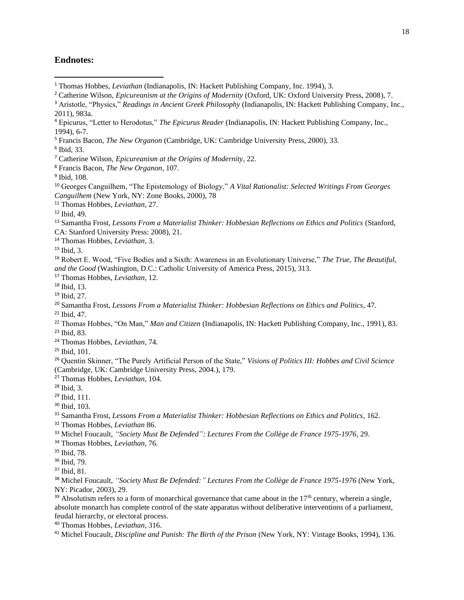## **Endnotes:**

Catherine Wilson, *Epicureanism at the Origins of Modernity* (Oxford, UK: Oxford University Press, 2008), 7.

Ibid, 33.

Francis Bacon, *The New Organon*, 107.

 Georges Canguilhem, "The Epistemology of Biology," *A Vital Rationalist: Selected Writings From Georges Canguilhem* (New York, NY: Zone Books, 2000), 78

Thomas Hobbes, *Leviathan*, 27.

Ibid, 3.

 Robert E. Wood, "Five Bodies and a Sixth: Awareness in an Evolutionary Universe," *The True, The Beautiful, and the Good* (Washington, D.C.: Catholic University of America Press, 2015), 313.

Thomas Hobbes, *Leviathan*, 12.

Ibid, 13.

- Ibid, 27.
- Samantha Frost, *Lessons From a Materialist Thinker: Hobbesian Reflections on Ethics and Politics*, 47.
- Ibid, 47.
- Thomas Hobbes, "On Man," *Man and Citizen* (Indianapolis, IN: Hackett Publishing Company, Inc., 1991), 83. Ibid, 83.
- Thomas Hobbes*, Leviathan*, 74.

Ibid, 101.

 Quentin Skinner, "The Purely Artificial Person of the State," *Visions of Politics III: Hobbes and Civil Science* (Cambridge, UK: Cambridge University Press, 2004.), 179.

Thomas Hobbes, *Leviathan*, 104.

Ibid, 3.

Ibid, 111.

Ibid, 103.

- Samantha Frost, *Lessons From a Materialist Thinker: Hobbesian Reflections on Ethics and Politics*, 162.
- Thomas Hobbes, *Leviathan* 86.
- Michel Foucault, *"Society Must Be Defended": Lectures From the Collège de France 1975-1976,* 29.

Thomas Hobbes, *Leviathan,* 76.

Ibid, 79.

 Michel Foucault, *"Society Must Be Defended:" Lectures From the Collège de France 1975-1976* (New York, NY: Picador, 2003), 29.

 Absolutism refers to a form of monarchical governance that came about in the  $17<sup>th</sup>$  century, wherein a single, absolute monarch has complete control of the state apparatus without deliberative interventions of a parliament, feudal hierarchy, or electoral process.

Thomas Hobbes, *Leviathan*, 316.

<sup>&</sup>lt;sup>1</sup> Thomas Hobbes, *Leviathan* (Indianapolis, IN: Hackett Publishing Company, Inc. 1994), 3.

<sup>&</sup>lt;sup>3</sup> Aristotle, "Physics," *Readings in Ancient Greek Philosophy* (Indianapolis, IN: Hackett Publishing Company, Inc., 2011), 983a.

 Epicurus, "Letter to Herodotus," *The Epicurus Reader* (Indianapolis, IN: Hackett Publishing Company, Inc., 1994), 6-7.

Francis Bacon, *The New Organon* (Cambridge, UK: Cambridge University Press, 2000), 33.

Catherine Wilson, *Epicureanism at the Origins of Modernity*, 22.

Ibid, 108.

Ibid, 49.

 Samantha Frost, *Lessons From a Materialist Thinker: Hobbesian Reflections on Ethics and Politics* (Stanford, CA: Stanford University Press: 2008), 21.

Thomas Hobbes, *Leviathan*, 3.

Ibid, 78.

Ibid, 81.

Michel Foucault, *Discipline and Punish: The Birth of the Prison* (New York, NY: Vintage Books, 1994), 136.